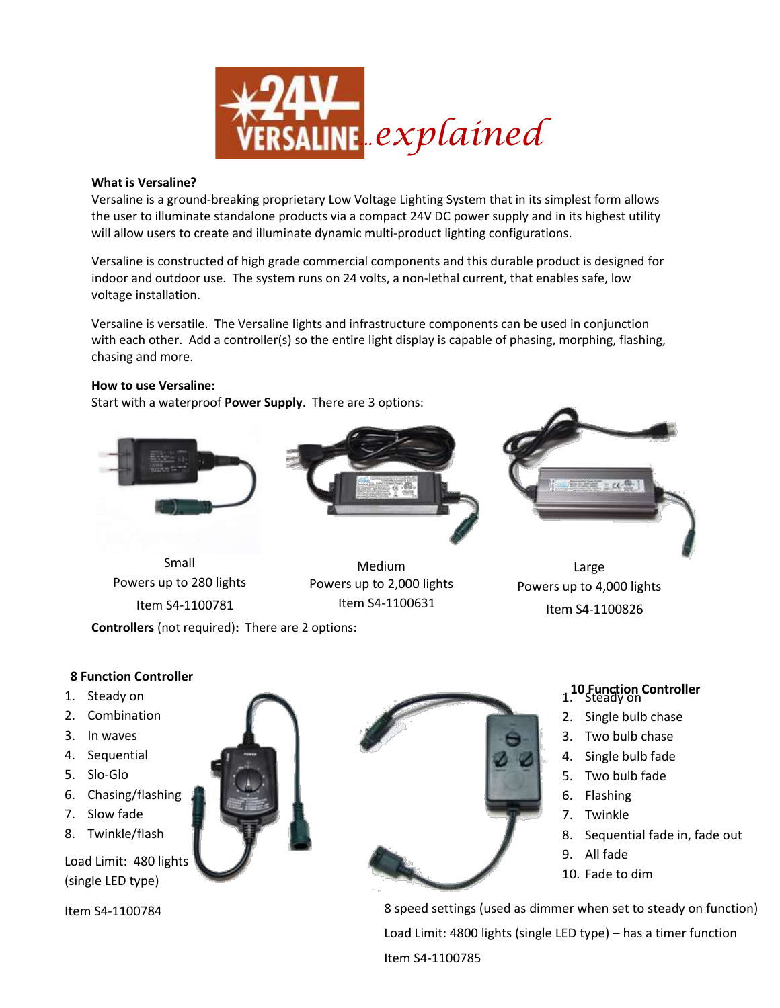

#### **What is Versaline?**

Versaline is a ground-breaking proprietary Low Voltage Lighting System that in its simplest form allows the user to illuminate standalone products via a compact 24V DC power supply and in its highest utility will allow users to create and illuminate dynamic multi-product lighting configurations.

Versaline is constructed of high grade commercial components and this durable product is designed for indoor and outdoor use. The system runs on 24 volts, a non-lethal current, that enables safe, low voltage installation.

Versaline is versatile. The Versaline lights and infrastructure components can be used in conjunction with each other. Add a controller(s) so the entire light display is capable of phasing, morphing, flashing, chasing and more.

## **How to use Versaline:**

Start with a waterproof **Power Supply**. There are 3 options:



Small Powers up to 280 lights Item S4-1100781



Medium Powers up to 2,000 lights Item S4-1100631



Large Powers up to 4,000 lights Item S4-1100826

**Controllers** (not required)**:** There are 2 options:

# **8 Function Controller**

- 1. Steady on
- 2. Combination
- 3. In waves
- 4. Sequential
- 5. Slo-Glo
- 6. Chasing/flashing
- 7. Slow fade
- 8. Twinkle/flash

Load Limit: 480 lights (single LED type)

Item S4-1100784



# **10 Function Controller** 1. Steady on

- 2. Single bulb chase
- 3. Two bulb chase
- 4. Single bulb fade
- 5. Two bulb fade
- 6. Flashing
- 7. Twinkle
- 8. Sequential fade in, fade out
- 9. All fade
- 10. Fade to dim

8 speed settings (used as dimmer when set to steady on function) Load Limit: 4800 lights (single LED type) – has a timer function Item S4-1100785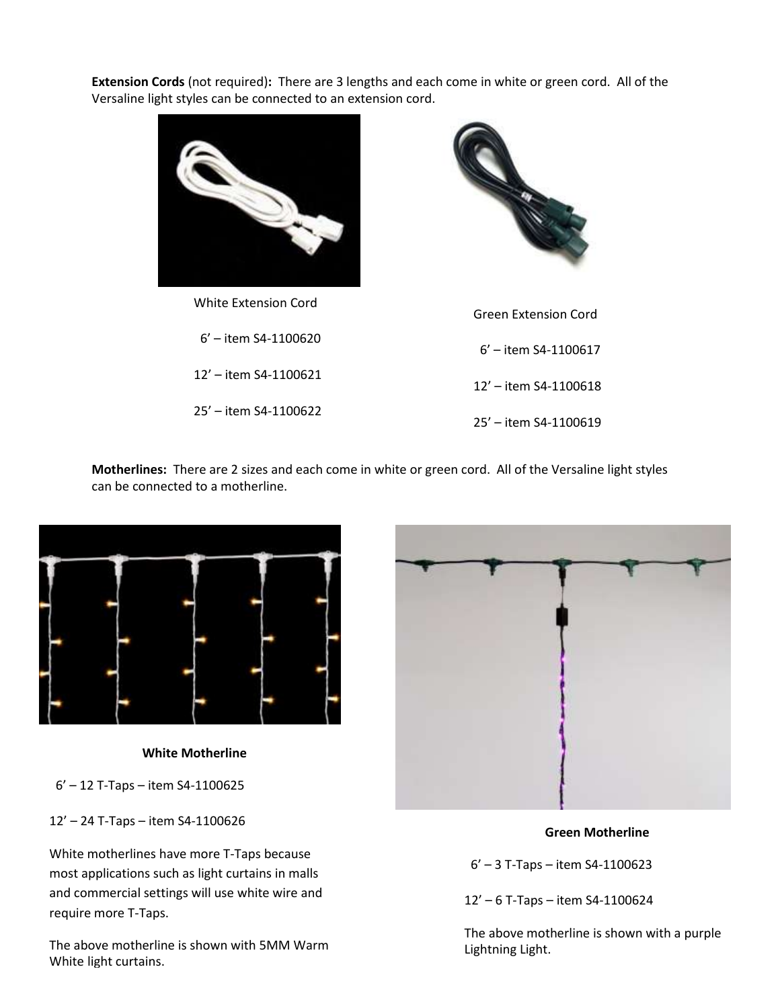**Extension Cords** (not required)**:** There are 3 lengths and each come in white or green cord. All of the Versaline light styles can be connected to an extension cord.



White Extension Cord 6' – item S4-1100620 12' – item S4-1100621 25' – item S4-1100622



 6' – item S4-1100617 12' – item S4-1100618 25' – item S4-1100619

**Motherlines:** There are 2 sizes and each come in white or green cord. All of the Versaline light styles can be connected to a motherline.



**White Motherline**

6' – 12 T-Taps – item S4-1100625

12' – 24 T-Taps – item S4-1100626

White motherlines have more T-Taps because most applications such as light curtains in malls and commercial settings will use white wire and require more T-Taps.

The above motherline is shown with 5MM Warm White light curtains.



# **Green Motherline**

6' – 3 T-Taps – item S4-1100623

12' – 6 T-Taps – item S4-1100624

The above motherline is shown with a purple Lightning Light.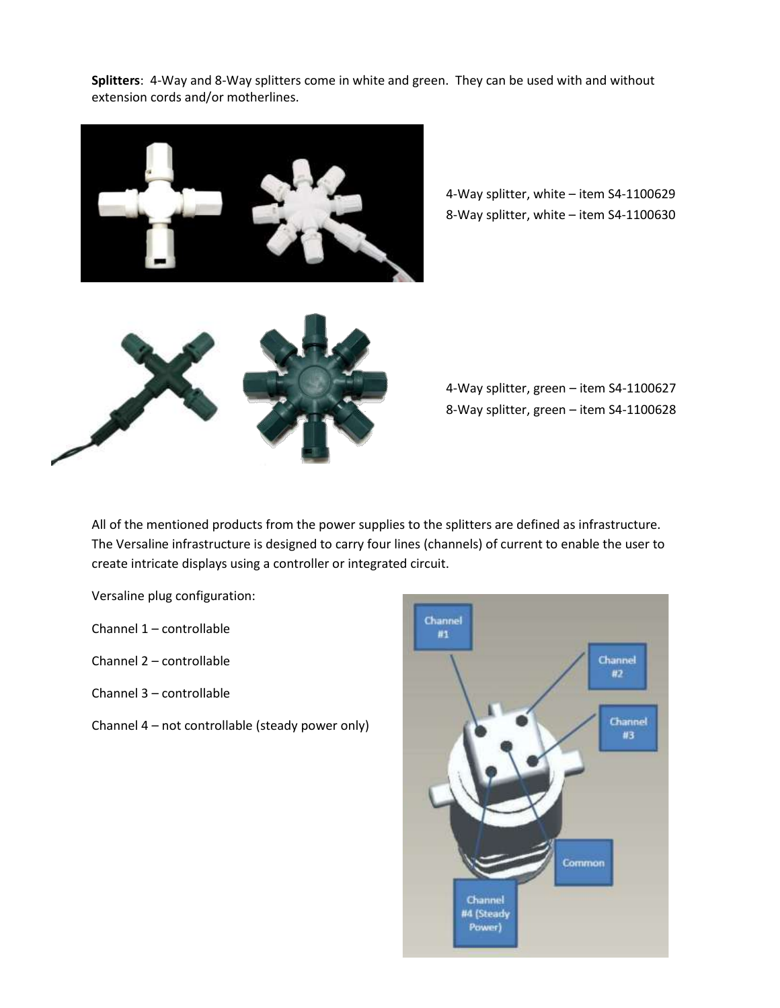**Splitters**: 4-Way and 8-Way splitters come in white and green. They can be used with and without extension cords and/or motherlines.



4-Way splitter, white – item S4-1100629 8-Way splitter, white – item S4-1100630



4-Way splitter, green – item S4-1100627 8-Way splitter, green – item S4-1100628

All of the mentioned products from the power supplies to the splitters are defined as infrastructure. The Versaline infrastructure is designed to carry four lines (channels) of current to enable the user to create intricate displays using a controller or integrated circuit.

Versaline plug configuration:

- Channel 1 controllable
- Channel 2 controllable
- Channel 3 controllable
- Channel 4 not controllable (steady power only)

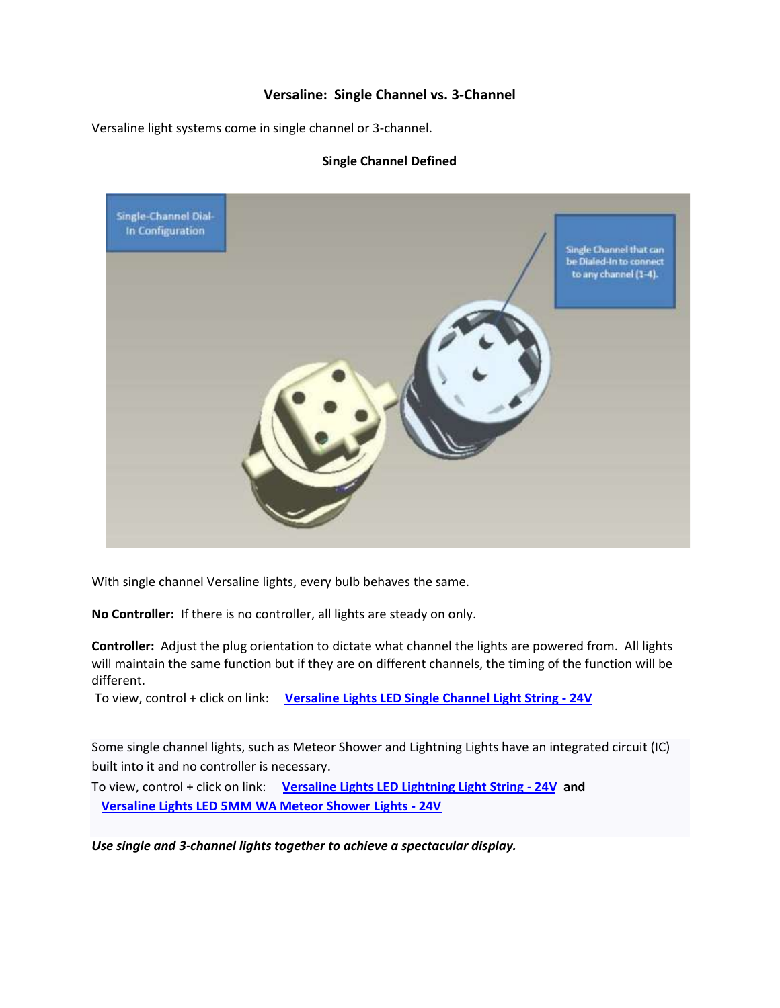# **Versaline: Single Channel vs. 3-Channel**

Versaline light systems come in single channel or 3-channel.



## **Single Channel Defined**

With single channel Versaline lights, every bulb behaves the same.

**No Controller:** If there is no controller, all lights are steady on only.

**Controller:** Adjust the plug orientation to dictate what channel the lights are powered from. All lights will maintain the same function but if they are on different channels, the timing of the function will be different.

To view, control + click on link: **Versaline Lights L[ED Single Channel Light String - 24V](http://www.youtube.com/watch?v=WK__SliTYAc&list=PL5D2F373ADBAEED52&index=9&feature=plpp_video)**

Some single channel lights, such as Meteor Shower and Lightning Lights have an integrated circuit (IC) built into it and no controller is necessary.

To view, control + click on link: **Versaline [Lights LED Lightning Light String - 24V a](http://www.youtube.com/watch?v=GYsDVT1s-do&list=PL5D2F373ADBAEED52&index=4&feature=plpp_video)nd Versaline [Lights LED 5MM WA Meteor Shower Lights - 24V](http://www.youtube.com/watch?v=mh7_zwbhVDA&list=PL5D2F373ADBAEED52&index=6&feature=plpp_video)**

*Use single and 3-channel lights together to achieve a spectacular display.*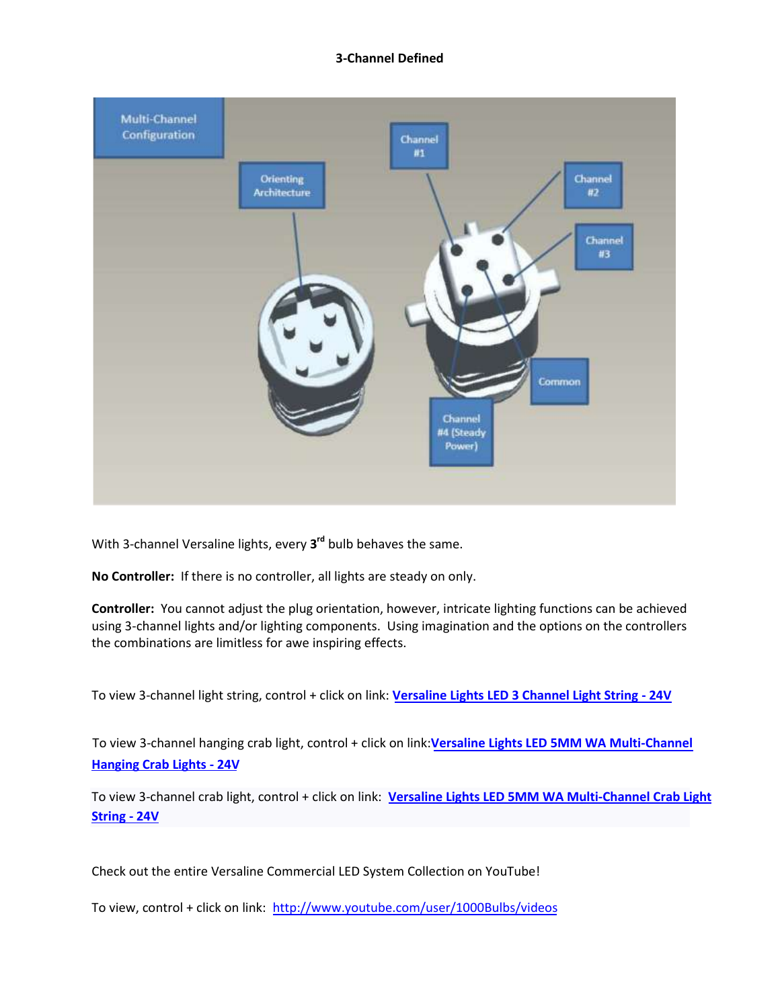#### **3-Channel Defined**



With 3-channel Versaline lights, every **3 rd** bulb behaves the same.

**No Controller:** If there is no controller, all lights are steady on only.

**Controller:** You cannot adjust the plug orientation, however, intricate lighting functions can be achieved using 3-channel lights and/or lighting components. Using imagination and the options on the controllers the combinations are limitless for awe inspiring effects.

To view 3-channel light string, control + click on link: **Versaline Lights LED 3 [Channel Light String - 24V](http://www.youtube.com/watch?v=e70_DV2Ydxo&list=PL5D2F373ADBAEED52&index=12&feature=plpp_video)** 

To view 3-channel hanging crab light, control + click on link:**Versaline [Lights LED 5MM WA Multi-Channel](http://www.youtube.com/watch?v=QImSkk-5Rlw&list=PL5D2F373ADBAEED52&index=8&feature=plpp_video)  [Hanging Crab Lights - 24V](http://www.youtube.com/watch?v=QImSkk-5Rlw&list=PL5D2F373ADBAEED52&index=8&feature=plpp_video)**

To view 3-channel crab light, control + click on link: **Versaline [Lights LED 5MM WA Multi-Channel Crab Light](http://www.youtube.com/watch?v=9XSrq0R-J-I&list=PL5D2F373ADBAEED52&index=7&feature=plpp_video)  [String - 24V](http://www.youtube.com/watch?v=9XSrq0R-J-I&list=PL5D2F373ADBAEED52&index=7&feature=plpp_video)** 

Check out the entire Versaline Commercial LED System Collection on YouTube!

To view, control + click on link: [http://www.youtube.com/user/](http://www.youtube.com/playlist?list=PL5D2F373ADBAEED52&feature=plcp)1000Bulbs/videos